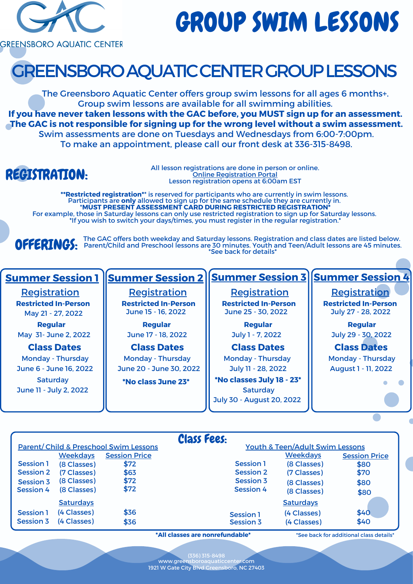

# GROUP SWIM LESSONS

**GREENSBORO AQUATIC CENTER** 

## REGISTRATION:

## GREENSBOROAQUATICCENTERGROUPLESSONS

The Greensboro Aquatic Center offers group swim lessons for all ages 6 months+. Group swim lessons are available for all swimming abilities. **If you have never taken lessons with the GAC before, you MUST sign up for an assessment. The GAC is not responsible for signing up for the wrong level without a swim assessment.** Swim assessments are done on Tuesdays and Wednesdays from 6:00-7:00pm. To make an appointment, please call our front desk at 336-315-8498.

> All lesson registrations are done in person or online. Online [Registration](https://services.greensboroaquaticcenter.com/) Portal Lesson registration opens at 6:00am EST

OFFERINGS: The GAC offers both weekday and Saturday lessons. Registration and class dates are listed below. Parent/Child and Preschool lessons are 30 minutes. Youth and Teen/Adult lessons are 45 minutes. \*See back for details\*

> www.greensboroaquaticcenter.com (336) 315-8498 1921 W Gate City Blvd Greensboro, NC 27403

#### **Class Dates**

**Regular** May 21 - 27, 2022 May 31- June 2, 2022

**Regular Regular** July 29 - 30, 2022

**\*\*Restricted registration\***\* is reserved for participants who are currently in swim lessons. Participants are **only** allowed to sign up for the same schedule they are currently in. \***MUST PRESENT ASSESSMENT CARD DURING RESTRICTED REGISTRATION\*** For example, those in Saturday lessons can only use restricted registration to sign up for Saturday lessons. \*If you wish to switch your days/times, you must register in the regular registration.\*

Monday - Thursday June 6 - June 16, 2022 **Saturday** June 11 - July 2, 2022

**Class Dates** Monday - Thursday June 20 - June 30, 2022



**Regular** June 17 - 18, 2022

| <b>Class Fees:</b><br><b>Youth &amp; Teen/Adult Swim Lessons</b><br><b>Parent/Child &amp; Preschool Swim Lessons</b> |                  |                      |                  |                  |                      |  |  |
|----------------------------------------------------------------------------------------------------------------------|------------------|----------------------|------------------|------------------|----------------------|--|--|
|                                                                                                                      | <b>Weekdays</b>  | <b>Session Price</b> |                  | <b>Weekdays</b>  | <b>Session Price</b> |  |  |
| <b>Session 1</b>                                                                                                     | (8 Classes)      | \$72                 | <b>Session 1</b> | (8 Classes)      | \$80                 |  |  |
| <b>Session 2</b>                                                                                                     | (7 Classes)      | \$63                 | <b>Session 2</b> | (7 Classes)      | \$70                 |  |  |
| <b>Session 3</b>                                                                                                     | (8 Classes)      | \$72                 | <b>Session 3</b> | (8 Classes)      | \$80                 |  |  |
| <b>Session 4</b>                                                                                                     | (8 Classes)      | \$72                 | <b>Session 4</b> | (8 Classes)      | \$80                 |  |  |
|                                                                                                                      | <b>Saturdays</b> |                      |                  | <b>Saturdays</b> |                      |  |  |
| <b>Session 1</b>                                                                                                     | (4 Classes)      | \$36                 | <b>Session 1</b> | (4 Classes)      | \$40                 |  |  |
| <b>Session 3</b>                                                                                                     | (4 Classes)      | \$36                 | <b>Session 3</b> | (4 Classes)      | \$40                 |  |  |

**\*All classes are nonrefundable\***

**Class Dates Class Dates** Monday - Thursday | Monday - Thursday **Saturday** July 11 - 28, 2022 **\*No classes July 18 - 23\*** July 30 - August 20, 2022

July 1 - 7, 2022

August 1 - 11, 2022

\*See back for additional class details\*

**\*No class June 23\***